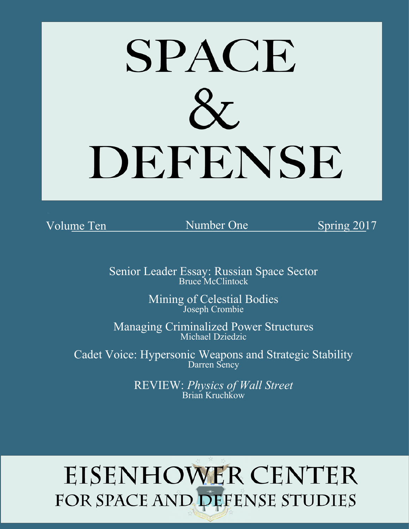

Volume Ten Mumber One Spring 2017

Senior Leader Essay: Russian Space Sector Bruce McClintock

 Number One Mining of Celestial Bodies Joseph Crombie

Managing Criminalized Power Structures Michael Dziedzic

Cadet Voice: Hypersonic Weapons and Strategic Stability Darren Sency

> $\frac{1}{2}$  Brian Kruchkow REVIEW: *Physics of Wall Street* Brian Kruchkow

# **EISENHOWER CENTER** FOR SPACE AND DEFENSE STUDIES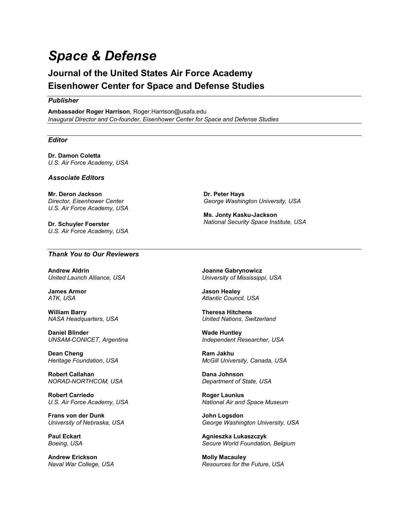# *Space & Defense*

## **Journal of the United States Air Force Academy Eisenhower Center for Space and Defense Studies**

#### *Publisher*

**Ambassador Roger Harrison**, Roger.Harrison@usafa.edu *Inaugural Director and Co-founder, Eisenhower Center for Space and Defense Studies*

#### *Editor*

**Dr. Damon Coletta** *U.S. Air Force Academy, USA*

#### *Associate Editors*

**Mr. Deron Jackson** *Director, Eisenhower Center U.S. Air Force Academy, USA*

**Dr. Schuyler Foerster** *U.S. Air Force Academy, USA*

#### *Thank You to Our Reviewers*

**Andrew Aldrin** *United Launch Alliance, USA*

**James Armor** *ATK, USA*

**William Barry** *NASA Headquarters, USA*

**Daniel Blinder** *UNSAM-CONICET, Argentina*

**Dean Cheng** *Heritage Foundation, USA*

**Robert Callahan** *NORAD-NORTHCOM, USA*

**Robert Carriedo** *U.S. Air Force Academy, USA*

**Frans von der Dunk** *University of Nebraska, USA*

**Paul Eckart** *Boeing, USA*

**Andrew Erickson** *Naval War College, USA*

**Ms. Jonty Kasku-Jackson**

*George Washington University, USA*

*National Security Space Institute, USA*

**Joanne Gabrynowicz** *University of Mississippi, USA*

**Jason Healey** *Atlantic Council, USA*

**Dr. Peter Hays**

**Theresa Hitchens** *United Nations, Switzerland*

**Wade Huntley** *Independent Researcher, USA*

**Ram Jakhu** *McGill University, Canada, USA*

**Dana Johnson** *Department of State, USA*

**Roger Launius** *National Air and Space Museum*

**John Logsdon** *George Washington University, USA*

**Agnieszka Lukaszczyk** *Secure World Foundation, Belgium*

**Molly Macauley** *Resources for the Future, USA*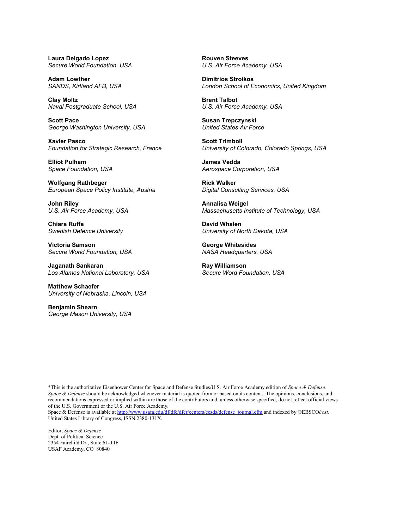**Laura Delgado Lopez** *Secure World Foundation, USA*

**Adam Lowther** *SANDS, Kirtland AFB, USA*

**Clay Moltz** *Naval Postgraduate School, USA*

**Scott Pace** *George Washington University, USA*

**Xavier Pasco** *Foundation for Strategic Research, France*

**Elliot Pulham** *Space Foundation, USA*

**Wolfgang Rathbeger** *European Space Policy Institute, Austria*

**John Riley** *U.S. Air Force Academy, USA*

**Chiara Ruffa** *Swedish Defence University*

**Victoria Samson** *Secure World Foundation, USA*

**Jaganath Sankaran** *Los Alamos National Laboratory, USA*

**Matthew Schaefer** *University of Nebraska, Lincoln, USA*

**Benjamin Shearn** *George Mason University, USA* **Rouven Steeves** *U.S. Air Force Academy, USA*

**Dimitrios Stroikos** *London School of Economics, United Kingdom*

**Brent Talbot** *U.S. Air Force Academy, USA*

**Susan Trepczynski** *United States Air Force*

**Scott Trimboli** *University of Colorado, Colorado Springs, USA*

**James Vedda** *Aerospace Corporation, USA*

**Rick Walker** *Digital Consulting Services, USA*

**Annalisa Weigel** *Massachusetts Institute of Technology, USA*

**David Whalen** *University of North Dakota, USA*

**George Whitesides** *NASA Headquarters, USA*

**Ray Williamson** *Secure Word Foundation, USA*

\*This is the authoritative Eisenhower Center for Space and Defense Studies/U.S. Air Force Academy edition of *Space & Defense. Space & Defense* should be acknowledged whenever material is quoted from or based on its content. The opinions, conclusions, and recommendations expressed or implied within are those of the contributors and, unless otherwise specified, do not reflect official views of the U.S. Government or the U.S. Air Force Academy.

Space & Defense is available a[t http://www.usafa.edu/df/dfe/dfer/centers/ecsds/defense\\_journal.cfm](http://www.usafa.edu/df/dfe/dfer/centers/ecsds/defense_journal.cfm) and indexed by ©EBSCO*host*. United States Library of Congress, ISSN 2380-131X.

Editor, *Space & Defense* Dept. of Political Science 2354 Fairchild Dr., Suite 6L-116 USAF Academy, CO 80840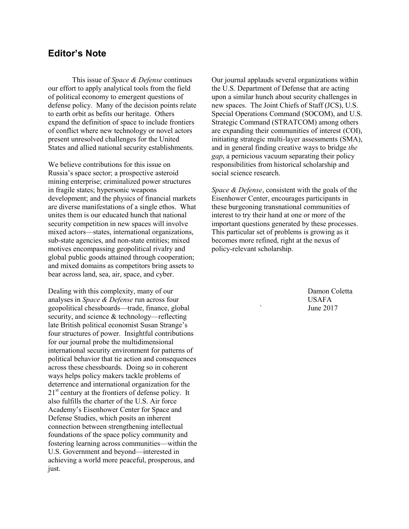### **Editor's Note**

 This issue of *Space & Defense* continues our effort to apply analytical tools from the field of political economy to emergent questions of defense policy. Many of the decision points relate to earth orbit as befits our heritage. Others expand the definition of space to include frontiers of conflict where new technology or novel actors present unresolved challenges for the United States and allied national security establishments.

We believe contributions for this issue on Russia's space sector; a prospective asteroid mining enterprise; criminalized power structures in fragile states; hypersonic weapons development; and the physics of financial markets are diverse manifestations of a single ethos. What unites them is our educated hunch that national security competition in new spaces will involve mixed actors—states, international organizations, sub-state agencies, and non-state entities; mixed motives encompassing geopolitical rivalry and global public goods attained through cooperation; and mixed domains as competitors bring assets to bear across land, sea, air, space, and cyber.

Dealing with this complexity, many of our analyses in *Space & Defense* run across four geopolitical chessboards—trade, finance, global security, and science & technology—reflecting late British political economist Susan Strange's four structures of power. Insightful contributions for our journal probe the multidimensional international security environment for patterns of political behavior that tie action and consequences across these chessboards. Doing so in coherent ways helps policy makers tackle problems of deterrence and international organization for the  $21<sup>st</sup>$  century at the frontiers of defense policy. It also fulfills the charter of the U.S. Air force Academy's Eisenhower Center for Space and Defense Studies, which posits an inherent connection between strengthening intellectual foundations of the space policy community and fostering learning across communities—within the U.S. Government and beyond—interested in achieving a world more peaceful, prosperous, and just.

Our journal applauds several organizations within the U.S. Department of Defense that are acting upon a similar hunch about security challenges in new spaces. The Joint Chiefs of Staff (JCS), U.S. Special Operations Command (SOCOM), and U.S. Strategic Command (STRATCOM) among others are expanding their communities of interest (COI), initiating strategic multi-layer assessments (SMA), and in general finding creative ways to bridge *the gap*, a pernicious vacuum separating their policy responsibilities from historical scholarship and social science research.

*Space & Defense*, consistent with the goals of the Eisenhower Center, encourages participants in these burgeoning transnational communities of interest to try their hand at one or more of the important questions generated by these processes. This particular set of problems is growing as it becomes more refined, right at the nexus of policy-relevant scholarship.

> Damon Coletta USAFA June 2017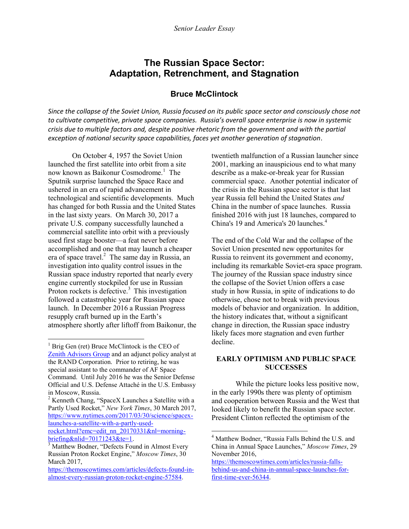## **The Russian Space Sector: Adaptation, Retrenchment, and Stagnation**

#### **Bruce McClintock**

*Since the collapse of the Soviet Union, Russia focused on its public space sector and consciously chose not to cultivate competitive, private space companies. Russia's overall space enterprise is now in systemic crisis due to multiple factors and, despite positive rhetoric from the government and with the partial exception of national security space capabilities, faces yet another generation of stagnation*.

 $\overline{a}$ 

On October 4, 1957 the Soviet Union launched the first satellite into orbit from a site now known as Baikonur Cosmodrome.<sup>1</sup> The Sputnik surprise launched the Space Race and ushered in an era of rapid advancement in technological and scientific developments. Much has changed for both Russia and the United States in the last sixty years. On March 30, 2017 a private U.S. company successfully launched a commercial satellite into orbit with a previously used first stage booster—a feat never before accomplished and one that may launch a cheaper era of space travel.<sup>2</sup> The same day in Russia, an investigation into quality control issues in the Russian space industry reported that nearly every engine currently stockpiled for use in Russian Proton rockets is defective.<sup>3</sup> This investigation followed a catastrophic year for Russian space launch. In December 2016 a Russian Progress resupply craft burned up in the Earth's atmosphere shortly after liftoff from Baikonur, the

 $\overline{a}$ 

[rocket.html?emc=edit\\_nn\\_20170331&nl=morning](https://www.nytimes.com/2017/03/30/science/spacex-launches-a-satellite-with-a-partly-used-rocket.html?emc=edit_nn_20170331&nl=morning-briefing&nlid=70171243&te=1)[briefing&nlid=70171243&te=1.](https://www.nytimes.com/2017/03/30/science/spacex-launches-a-satellite-with-a-partly-used-rocket.html?emc=edit_nn_20170331&nl=morning-briefing&nlid=70171243&te=1) 

twentieth malfunction of a Russian launcher since 2001, marking an inauspicious end to what many describe as a make-or-break year for Russian commercial space. Another potential indicator of the crisis in the Russian space sector is that last year Russia fell behind the United States *and* China in the number of space launches. Russia finished 2016 with just 18 launches, compared to China's 19 and America's 20 launches.<sup>4</sup>

The end of the Cold War and the collapse of the Soviet Union presented new opportunites for Russia to reinvent its government and economy, including its remarkable Soviet-era space program. The journey of the Russian space industry since the collapse of the Soviet Union offers a case study in how Russia, in spite of indications to do otherwise, chose not to break with previous models of behavior and organization. In addition, the history indicates that, without a significant change in direction, the Russian space industry likely faces more stagnation and even further decline.

#### **EARLY OPTIMISM AND PUBLIC SPACE SUCCESSES**

 While the picture looks less positive now, in the early 1990s there was plenty of optimism and cooperation between Russia and the West that looked likely to benefit the Russian space sector. President Clinton reflected the optimism of the

<sup>&</sup>lt;sup>1</sup> Brig Gen (ret) Bruce McClintock is the CEO of [Zenith Advisors Group](http://www.zenithadvisorsgroup.com/) and an adjunct policy analyst at the RAND Corporation. Prior to retiring, he was special assistant to the commander of AF Space Command. Until July 2016 he was the Senior Defense Official and U.S. Defense Attaché in the U.S. Embassy in Moscow, Russia.

<sup>&</sup>lt;sup>2</sup> Kenneth Chang, "SpaceX Launches a Satellite with a Partly Used Rocket," *New York Times*, 30 March 2017, [https://www.nytimes.com/2017/03/30/science/spacex](https://www.nytimes.com/2017/03/30/science/spacex-launches-a-satellite-with-a-partly-used-rocket.html?emc=edit_nn_20170331&nl=morning-briefing&nlid=70171243&te=1)[launches-a-satellite-with-a-partly-used-](https://www.nytimes.com/2017/03/30/science/spacex-launches-a-satellite-with-a-partly-used-rocket.html?emc=edit_nn_20170331&nl=morning-briefing&nlid=70171243&te=1)

<sup>&</sup>lt;sup>3</sup> Matthew Bodner, "Defects Found in Almost Every Russian Proton Rocket Engine," *Moscow Times*, 30 March 2017,

[https://themoscowtimes.com/articles/defects-found-in](https://themoscowtimes.com/articles/defects-found-in-almost-every-russian-proton-rocket-engine-57584)[almost-every-russian-proton-rocket-engine-57584.](https://themoscowtimes.com/articles/defects-found-in-almost-every-russian-proton-rocket-engine-57584)

<sup>4</sup> Matthew Bodner, "Russia Falls Behind the U.S. and China in Annual Space Launches," *Moscow Times*, 29 November 2016,

[https://themoscowtimes.com/articles/russia-falls](https://themoscowtimes.com/articles/russia-falls-behind-us-and-china-in-annual-space-launches-for-first-time-ever-56344)[behind-us-and-china-in-annual-space-launches-for](https://themoscowtimes.com/articles/russia-falls-behind-us-and-china-in-annual-space-launches-for-first-time-ever-56344)[first-time-ever-56344.](https://themoscowtimes.com/articles/russia-falls-behind-us-and-china-in-annual-space-launches-for-first-time-ever-56344)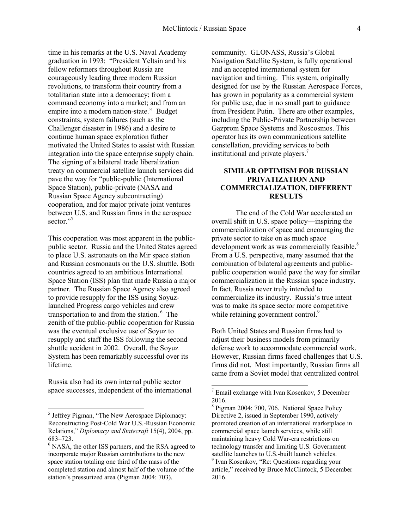time in his remarks at the U.S. Naval Academy graduation in 1993: "President Yeltsin and his fellow reformers throughout Russia are courageously leading three modern Russian revolutions, to transform their country from a totalitarian state into a democracy; from a command economy into a market; and from an empire into a modern nation-state." Budget constraints, system failures (such as the Challenger disaster in 1986) and a desire to continue human space exploration futher motivated the United States to assist with Russian integration into the space enterprise supply chain. The signing of a bilateral trade liberalization treaty on commercial satellite launch services did pave the way for "public-public (International Space Station), public-private (NASA and Russian Space Agency subcontracting) cooperation, and for major private joint ventures between U.S. and Russian firms in the aerospace sector."<sup>5</sup>

This cooperation was most apparent in the publicpublic sector. Russia and the United States agreed to place U.S. astronauts on the Mir space station and Russian cosmonauts on the U.S. shuttle. Both countries agreed to an ambitious International Space Station (ISS) plan that made Russia a major partner. The Russian Space Agency also agreed to provide resupply for the ISS using Soyuzlaunched Progress cargo vehicles and crew transportation to and from the station. <sup>6</sup> The zenith of the public-public cooperation for Russia was the eventual exclusive use of Soyuz to resupply and staff the ISS following the second shuttle accident in 2002. Overall, the Soyuz System has been remarkably successful over its lifetime.

Russia also had its own internal public sector space successes, independent of the international community. GLONASS, Russia's Global Navigation Satellite System, is fully operational and an accepted international system for navigation and timing. This system, originally designed for use by the Russian Aerospace Forces, has grown in popularity as a commercial system for public use, due in no small part to guidance from President Putin. There are other examples, including the Public-Private Partnership between Gazprom Space Systems and Roscosmos. This operator has its own communications satellite constellation, providing services to both institutional and private players.<sup>7</sup>

#### **SIMILAR OPTIMISM FOR RUSSIAN PRIVATIZATION AND COMMERCIALIZATION, DIFFERENT RESULTS**

 The end of the Cold War accelerated an overall shift in U.S. space policy—inspiring the commercialization of space and encouraging the private sector to take on as much space development work as was commercially feasible.<sup>8</sup> From a U.S. perspective, many assumed that the combination of bilateral agreements and publicpublic cooperation would pave the way for similar commercialization in the Russian space industry. In fact, Russia never truly intended to commercialize its industry. Russia's true intent was to make its space sector more competitive while retaining government control.<sup>9</sup>

Both United States and Russian firms had to adjust their business models from primarily defense work to accommodate commercial work. However, Russian firms faced challenges that U.S. firms did not. Most importantly, Russian firms all came from a Soviet model that centralized control

1

 5 Jeffrey Pigman, "The New Aerospace Diplomacy: Reconstructing Post-Cold War U.S.-Russian Economic Relations," *Diplomacy and Statecraft* 15(4), 2004, pp. 683–723.

<sup>&</sup>lt;sup>6</sup> NASA, the other ISS partners, and the RSA agreed to incorporate major Russian contributions to the new space station totaling one third of the mass of the completed station and almost half of the volume of the station's pressurized area (Pigman 2004: 703).

<sup>7</sup> Email exchange with Ivan Kosenkov, 5 December 2016.

<sup>8</sup> Pigman 2004: 700, 706. National Space Policy Directive 2, issued in September 1990, actively promoted creation of an international marketplace in commercial space launch services, while still maintaining heavy Cold War-era restrictions on technology transfer and limiting U.S. Government satellite launches to U.S.-built launch vehicles. 9 Ivan Kosenkov, "Re: Questions regarding your article," received by Bruce McClintock, 5 December 2016.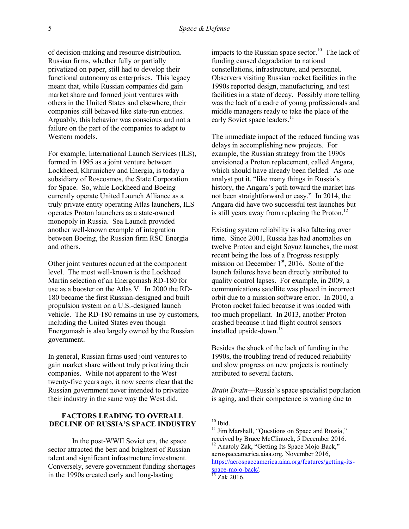of decision-making and resource distribution. Russian firms, whether fully or partially privatized on paper, still had to develop their functional autonomy as enterprises. This legacy meant that, while Russian companies did gain market share and formed joint ventures with others in the United States and elsewhere, their companies still behaved like state-run entities. Arguably, this behavior was conscious and not a failure on the part of the companies to adapt to Western models.

For example, International Launch Services (ILS), formed in 1995 as a joint venture between Lockheed, Khrunichev and Energia, is today a subsidiary of Roscosmos, the State Corporation for Space. So, while Lockheed and Boeing currently operate United Launch Alliance as a truly private entity operating Atlas launchers, ILS operates Proton launchers as a state-owned monopoly in Russia. Sea Launch provided another well-known example of integration between Boeing, the Russian firm RSC Energia and others.

Other joint ventures occurred at the component level. The most well-known is the Lockheed Martin selection of an Energomash RD-180 for use as a booster on the Atlas V. In 2000 the RD-180 became the first Russian-designed and built propulsion system on a U.S.-designed launch vehicle. The RD-180 remains in use by customers, including the United States even though Energomash is also largely owned by the Russian government.

In general, Russian firms used joint ventures to gain market share without truly privatizing their companies. While not apparent to the West twenty-five years ago, it now seems clear that the Russian government never intended to privatize their industry in the same way the West did.

#### **FACTORS LEADING TO OVERALL DECLINE OF RUSSIA'S SPACE INDUSTRY**

 In the post-WWII Soviet era, the space sector attracted the best and brightest of Russian talent and significant infrastructure investment. Conversely, severe government funding shortages in the 1990s created early and long-lasting

impacts to the Russian space sector.<sup>10</sup> The lack of funding caused degradation to national constellations, infrastructure, and personnel. Observers visiting Russian rocket facilities in the 1990s reported design, manufacturing, and test facilities in a state of decay. Possibly more telling was the lack of a cadre of young professionals and middle managers ready to take the place of the early Soviet space leaders.<sup>11</sup>

The immediate impact of the reduced funding was delays in accomplishing new projects. For example, the Russian strategy from the 1990s envisioned a Proton replacement, called Angara, which should have already been fielded. As one analyst put it, "like many things in Russia's history, the Angara's path toward the market has not been straightforward or easy." In 2014, the Angara did have two successful test launches but is still years away from replacing the Proton. $^{12}$ 

Existing system reliability is also faltering over time. Since 2001, Russia has had anomalies on twelve Proton and eight Soyuz launches, the most recent being the loss of a Progress resupply mission on December  $1<sup>st</sup>$ , 2016. Some of the launch failures have been directly attributed to quality control lapses. For example, in 2009, a communications satellite was placed in incorrect orbit due to a mission software error. In 2010, a Proton rocket failed because it was loaded with too much propellant. In 2013, another Proton crashed because it had flight control sensors installed upside-down.<sup>13</sup>

Besides the shock of the lack of funding in the 1990s, the troubling trend of reduced reliability and slow progress on new projects is routinely attributed to several factors.

*Brain Drain*—Russia's space specialist population is aging, and their competence is waning due to

1

 $10$  Ibid.

<sup>&</sup>lt;sup>11</sup> Jim Marshall, "Questions on Space and Russia," received by Bruce McClintock, 5 December 2016. <sup>12</sup> Anatoly Zak, "Getting Its Space Mojo Back," aerospaceamerica.aiaa.org, November 2016, [https://aerospaceamerica.aiaa.org/features/getting-its](https://aerospaceamerica.aiaa.org/features/getting-its-space-mojo-back/)[space-mojo-back/.](https://aerospaceamerica.aiaa.org/features/getting-its-space-mojo-back/)

 $^{13}$  Zak 2016.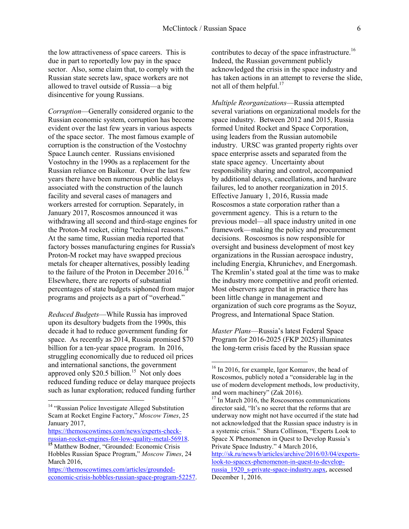the low attractiveness of space careers. This is due in part to reportedly low pay in the space sector. Also, some claim that, to comply with the Russian state secrets law, space workers are not allowed to travel outside of Russia—a big disincentive for young Russians.

*Corruption*—Generally considered organic to the Russian economic system, corruption has become evident over the last few years in various aspects of the space sector. The most famous example of corruption is the construction of the Vostochny Space Launch center. Russians envisioned Vostochny in the 1990s as a replacement for the Russian reliance on Baikonur. Over the last few years there have been numerous public delays associated with the construction of the launch facility and several cases of managers and workers arrested for corruption. Separately, in January 2017, Roscosmos announced it was withdrawing all second and third-stage engines for the Proton-M rocket, citing "technical reasons." At the same time, Russian media reported that factory bosses manufacturing engines for Russia's Proton-M rocket may have swapped precious metals for cheaper alternatives, possibly leading to the failure of the Proton in December 2016.<sup>14</sup> Elsewhere, there are reports of substantial percentages of state budgets siphoned from major programs and projects as a part of "overhead."

*Reduced Budgets*—While Russia has improved upon its desultory budgets from the 1990s, this decade it had to reduce government funding for space. As recently as 2014, Russia promised \$70 billion for a ten-year space program. In 2016, struggling economically due to reduced oil prices and international sanctions, the government approved only  $$20.5$  billion.<sup>15</sup> Not only does reduced funding reduce or delay marquee projects such as lunar exploration; reduced funding further

 $\overline{\phantom{a}}$ 

contributes to decay of the space infrastructure.<sup>16</sup> Indeed, the Russian government publicly acknowledged the crisis in the space industry and has taken actions in an attempt to reverse the slide, not all of them helpful.<sup>17</sup>

*Multiple Reorganizations*—Russia attempted several variations on organizational models for the space industry. Between 2012 and 2015, Russia formed United Rocket and Space Corporation, using leaders from the Russian automobile industry. URSC was granted property rights over space enterprise assets and separated from the state space agency. Uncertainty about responsibility sharing and control, accompanied by additional delays, cancellations, and hardware failures, led to another reorganization in 2015. Effective January 1, 2016, Russia made Roscosmos a state corporation rather than a government agency. This is a return to the previous model—all space industry united in one framework—making the policy and procurement decisions. Roscosmos is now responsible for oversight and business development of most key organizations in the Russian aerospace industry, including Energia, Khrunichev, and Energomash. The Kremlin's stated goal at the time was to make the industry more competitive and profit oriented. Most observers agree that in practice there has been little change in management and organization of such core programs as the Soyuz, Progress, and International Space Station.

*Master Plans*—Russia's latest Federal Space Program for 2016-2025 (FKP 2025) illuminates the long-term crisis faced by the Russian space

 $\overline{a}$ 

<sup>&</sup>lt;sup>14</sup> "Russian Police Investigate Alleged Substitution Scam at Rocket Engine Factory," *Moscow Times*, 25 January 2017,

[https://themoscowtimes.com/news/experts-check](https://themoscowtimes.com/news/experts-check-russian-rocket-engines-for-low-quality-metal-56918)[russian-rocket-engines-for-low-quality-metal-56918.](https://themoscowtimes.com/news/experts-check-russian-rocket-engines-for-low-quality-metal-56918)

**<sup>15</sup>** Matthew Bodner, "Grounded: Economic Crisis Hobbles Russian Space Program," *Moscow Times*, 24 March 2016,

[https://themoscowtimes.com/articles/grounded](https://themoscowtimes.com/articles/grounded-economic-crisis-hobbles-russian-space-program-52257)[economic-crisis-hobbles-russian-space-program-52257.](https://themoscowtimes.com/articles/grounded-economic-crisis-hobbles-russian-space-program-52257)

<sup>&</sup>lt;sup>16</sup> In 2016, for example, Igor Komarov, the head of Roscosmos, publicly noted a "considerable lag in the use of modern development methods, low productivity, and worn machinery" (Zak 2016).

<sup>&</sup>lt;sup>17</sup> In March 2016, the Roscosomos communications director said, "It's no secret that the reforms that are underway now might not have occurred if the state had not acknowledged that the Russian space industry is in a systemic crisis." Shura Collinson, "Experts Look to Space X Phenomenon in Quest to Develop Russia's Private Space Industry." 4 March 2016,

[http://sk.ru/news/b/articles/archive/2016/03/04/experts](http://sk.ru/news/b/articles/archive/2016/03/04/experts-look-to-spacex-phenomenon-in-quest-to-develop-russia_1920_s-private-space-industry.aspx)[look-to-spacex-phenomenon-in-quest-to-develop](http://sk.ru/news/b/articles/archive/2016/03/04/experts-look-to-spacex-phenomenon-in-quest-to-develop-russia_1920_s-private-space-industry.aspx)[russia\\_1920\\_s-private-space-industry.aspx,](http://sk.ru/news/b/articles/archive/2016/03/04/experts-look-to-spacex-phenomenon-in-quest-to-develop-russia_1920_s-private-space-industry.aspx) accessed December 1, 2016.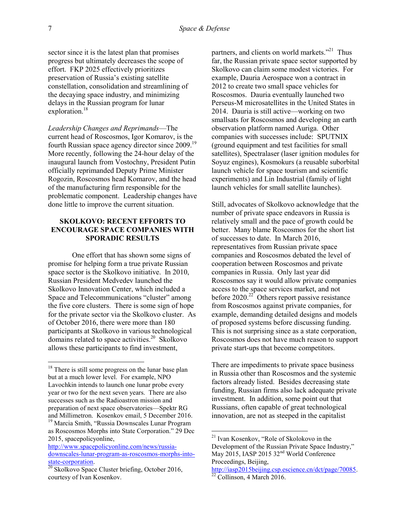sector since it is the latest plan that promises progress but ultimately decreases the scope of effort. FKP 2025 effectively prioritizes preservation of Russia's existing satellite constellation, consolidation and streamlining of the decaying space industry, and minimizing delays in the Russian program for lunar exploration.<sup>18</sup>

*Leadership Changes and Reprimands*—The current head of Roscosmos, Igor Komarov, is the fourth Russian space agency director since 2009.<sup>19</sup> More recently, following the 24-hour delay of the inaugural launch from Vostochny, President Putin officially reprimanded Deputy Prime Minister Rogozin, Roscosmos head Komarov, and the head of the manufacturing firm responsible for the problematic component. Leadership changes have done little to improve the current situation.

#### **SKOLKOVO: RECENT EFFORTS TO ENCOURAGE SPACE COMPANIES WITH SPORADIC RESULTS**

 One effort that has shown some signs of promise for helping form a true private Russian space sector is the Skolkovo initiative. In 2010, Russian President Medvedev launched the Skolkovo Innovation Center, which included a Space and Telecommunications "cluster" among the five core clusters. There is some sign of hope for the private sector via the Skolkovo cluster. As of October 2016, there were more than 180 participants at Skolkovo in various technological domains related to space activities. $20$  Skolkovo allows these participants to find investment,

partners, and clients on world markets."<sup>21</sup> Thus far, the Russian private space sector supported by Skolkovo can claim some modest victories. For example, Dauria Aerospace won a contract in 2012 to create two small space vehicles for Roscosmos. Dauria eventually launched two Perseus-M microsatellites in the United States in 2014. Dauria is still active—working on two smallsats for Roscosmos and developing an earth observation platform named Auriga. Other companies with successes include: SPUTNIX (ground equipment and test facilities for small satellites), Spectralaser (laser ignition modules for Soyuz engines), Kosmokurs (a reusable suborbital launch vehicle for space tourism and scientific experiments) and Lin Industrial (family of light launch vehicles for small satellite launches).

Still, advocates of Skolkovo acknowledge that the number of private space endeavors in Russia is relatively small and the pace of growth could be better. Many blame Roscosmos for the short list of successes to date. In March 2016, representatives from Russian private space companies and Roscosmos debated the level of cooperation between Roscosmos and private companies in Russia. Only last year did Roscosmos say it would allow private companies access to the space services market, and not before  $2020$ <sup>22</sup> Others report passive resistance from Roscosmos against private companies, for example, demanding detailed designs and models of proposed systems before discussing funding. This is not surprising since as a state corporation, Roscosmos does not have much reason to support private start-ups that become competitors.

There are impediments to private space business in Russia other than Roscosmos and the systemic factors already listed. Besides decreasing state funding, Russian firms also lack adequate private investment. In addition, some point out that Russians, often capable of great technological innovation, are not as steeped in the capitalist

 $\overline{a}$ 

l

<sup>&</sup>lt;sup>18</sup> There is still some progress on the lunar base plan but at a much lower level. For example, NPO Lavochkin intends to launch one lunar probe every year or two for the next seven years. There are also successes such as the Radioastron mission and preparation of next space observatories—Spektr RG and Millimetron. Kosenkov email, 5 December 2016.

<sup>&</sup>lt;sup>19</sup> Marcia Smith, "Russia Downscales Lunar Program as Roscosmos Morphs into State Corporation." 29 Dec 2015, spacepolicyonline,

[http://www.spacepolicyonline.com/news/russia](http://www.spacepolicyonline.com/news/russia-downscales-lunar-program-as-roscosmos-morphs-into-state-corporation)[downscales-lunar-program-as-roscosmos-morphs-into](http://www.spacepolicyonline.com/news/russia-downscales-lunar-program-as-roscosmos-morphs-into-state-corporation)[state-corporation.](http://www.spacepolicyonline.com/news/russia-downscales-lunar-program-as-roscosmos-morphs-into-state-corporation)

<sup>&</sup>lt;sup>20</sup> Skolkovo Space Cluster briefing, October 2016, courtesy of Ivan Kosenkov.

<sup>21</sup> Ivan Kosenkov, "Role of Skolokovo in the Development of the Russian Private Space Industry," May 2015, IASP 2015 32<sup>nd</sup> World Conference Proceedings, Beijing,

[http://iasp2015beijing.csp.escience.cn/dct/page/70085.](http://iasp2015beijing.csp.escience.cn/dct/page/70085)  $rac{ln(p_1/n_1)(1)}{22}$  Collinson, 4 March 2016.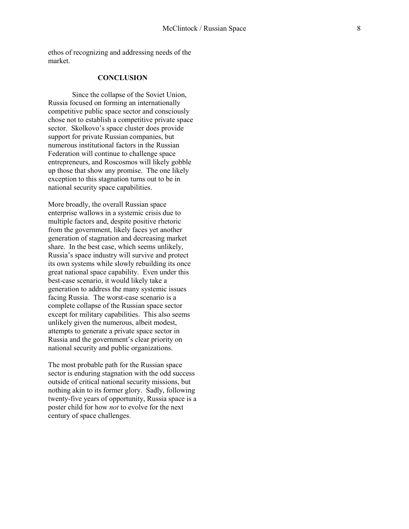ethos of recognizing and addressing needs of the market.

#### **CONCLUSION**

 Since the collapse of the Soviet Union, Russia focused on forming an internationally competitive public space sector and consciously chose not to establish a competitive private space sector. Skolkovo's space cluster does provide support for private Russian companies, but numerous institutional factors in the Russian Federation will continue to challenge space entrepreneurs, and Roscosmos will likely gobble up those that show any promise. The one likely exception to this stagnation turns out to be in national security space capabilities.

More broadly, the overall Russian space enterprise wallows in a systemic crisis due to multiple factors and, despite positive rhetoric from the government, likely faces yet another generation of stagnation and decreasing market share. In the best case, which seems unlikely, Russia's space industry will survive and protect its own systems while slowly rebuilding its once great national space capability. Even under this best-case scenario, it would likely take a generation to address the many systemic issues facing Russia. The worst-case scenario is a complete collapse of the Russian space sector except for military capabilities. This also seems unlikely given the numerous, albeit modest, attempts to generate a private space sector in Russia and the government's clear priority on national security and public organizations.

The most probable path for the Russian space sector is enduring stagnation with the odd success outside of critical national security missions, but nothing akin to its former glory. Sadly, following twenty-five years of opportunity, Russia space is a poster child for how *not* to evolve for the next century of space challenges.